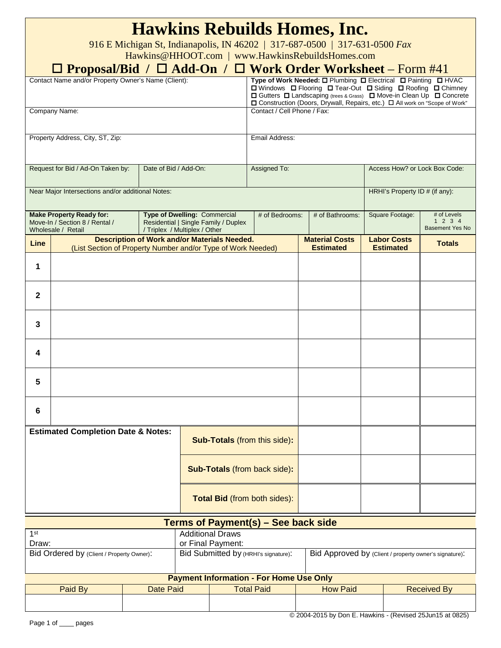| <b>Hawkins Rebuilds Homes, Inc.</b><br>916 E Michigan St, Indianapolis, IN 46202   317-687-0500   317-631-0500 Fax<br>Hawkins@HHOOT.com   www.HawkinsRebuildsHomes.com<br>□ Proposal/Bid / □ Add-On / □ Work Order Worksheet – Form #41 |                                                                                                                     |                                                                                                                                                                                                                                                                                         |                 |                                        |                                               |  |  |  |  |
|-----------------------------------------------------------------------------------------------------------------------------------------------------------------------------------------------------------------------------------------|---------------------------------------------------------------------------------------------------------------------|-----------------------------------------------------------------------------------------------------------------------------------------------------------------------------------------------------------------------------------------------------------------------------------------|-----------------|----------------------------------------|-----------------------------------------------|--|--|--|--|
| Contact Name and/or Property Owner's Name (Client):                                                                                                                                                                                     |                                                                                                                     | Type of Work Needed: O Plumbing O Electrical O Painting O HVAC<br>□ Windows □ Flooring □ Tear-Out □ Siding □ Roofing □ Chimney<br>□ Gutters □ Landscaping (trees & Grass) □ Move-in Clean Up □ Concrete<br>□ Construction (Doors, Drywall, Repairs, etc.) □ All work on "Scope of Work" |                 |                                        |                                               |  |  |  |  |
| Company Name:                                                                                                                                                                                                                           |                                                                                                                     | Contact / Cell Phone / Fax:                                                                                                                                                                                                                                                             |                 |                                        |                                               |  |  |  |  |
| Property Address, City, ST, Zip:                                                                                                                                                                                                        | Email Address:                                                                                                      |                                                                                                                                                                                                                                                                                         |                 |                                        |                                               |  |  |  |  |
| Request for Bid / Ad-On Taken by:                                                                                                                                                                                                       | Date of Bid / Add-On:                                                                                               | Assigned To:                                                                                                                                                                                                                                                                            |                 | Access How? or Lock Box Code:          |                                               |  |  |  |  |
| Near Major Intersections and/or additional Notes:                                                                                                                                                                                       |                                                                                                                     | HRHI's Property ID # (if any):                                                                                                                                                                                                                                                          |                 |                                        |                                               |  |  |  |  |
| <b>Make Property Ready for:</b><br>Move-In / Section 8 / Rental /<br>Wholesale / Retail                                                                                                                                                 | <b>Type of Dwelling: Commercial</b><br>Residential   Single Family / Duplex<br>/ Triplex / Multiplex / Other        | # of Bedrooms:                                                                                                                                                                                                                                                                          | # of Bathrooms: | Square Footage:                        | # of Levels<br>1234<br><b>Basement Yes No</b> |  |  |  |  |
| Line                                                                                                                                                                                                                                    | <b>Description of Work and/or Materials Needed.</b><br>(List Section of Property Number and/or Type of Work Needed) |                                                                                                                                                                                                                                                                                         |                 | <b>Labor Costs</b><br><b>Estimated</b> | <b>Totals</b>                                 |  |  |  |  |
| 1                                                                                                                                                                                                                                       |                                                                                                                     |                                                                                                                                                                                                                                                                                         |                 |                                        |                                               |  |  |  |  |
| $\mathbf{2}$                                                                                                                                                                                                                            |                                                                                                                     |                                                                                                                                                                                                                                                                                         |                 |                                        |                                               |  |  |  |  |
| 3                                                                                                                                                                                                                                       |                                                                                                                     |                                                                                                                                                                                                                                                                                         |                 |                                        |                                               |  |  |  |  |
| 4                                                                                                                                                                                                                                       |                                                                                                                     |                                                                                                                                                                                                                                                                                         |                 |                                        |                                               |  |  |  |  |
| ວ                                                                                                                                                                                                                                       |                                                                                                                     |                                                                                                                                                                                                                                                                                         |                 |                                        |                                               |  |  |  |  |
| 6                                                                                                                                                                                                                                       |                                                                                                                     |                                                                                                                                                                                                                                                                                         |                 |                                        |                                               |  |  |  |  |
| <b>Estimated Completion Date &amp; Notes:</b>                                                                                                                                                                                           | <b>Sub-Totals</b> (from this side):                                                                                 |                                                                                                                                                                                                                                                                                         |                 |                                        |                                               |  |  |  |  |
|                                                                                                                                                                                                                                         | <b>Sub-Totals (from back side):</b>                                                                                 |                                                                                                                                                                                                                                                                                         |                 |                                        |                                               |  |  |  |  |
|                                                                                                                                                                                                                                         | Total Bid (from both sides):                                                                                        |                                                                                                                                                                                                                                                                                         |                 |                                        |                                               |  |  |  |  |
| <b>Terms of Payment(s) – See back side</b>                                                                                                                                                                                              |                                                                                                                     |                                                                                                                                                                                                                                                                                         |                 |                                        |                                               |  |  |  |  |
| <b>Additional Draws</b><br>1 <sup>st</sup><br>Draw:<br>or Final Payment:                                                                                                                                                                |                                                                                                                     |                                                                                                                                                                                                                                                                                         |                 |                                        |                                               |  |  |  |  |
| Bid Ordered by (Client / Property Owner):                                                                                                                                                                                               |                                                                                                                     | Bid Submitted by (HRHI's signature):<br>Bid Approved by (Client / property owner's signature):                                                                                                                                                                                          |                 |                                        |                                               |  |  |  |  |

## **Payment Information - For Home Use Only**

| <b>Payment Information - For Home Use Only</b> |           |                   |                 |                    |  |  |  |
|------------------------------------------------|-----------|-------------------|-----------------|--------------------|--|--|--|
| Paid By                                        | Date Paid | <b>Total Paid</b> | <b>How Paid</b> | <b>Received By</b> |  |  |  |
|                                                |           |                   |                 |                    |  |  |  |

© 2004-2015 by Don E. Hawkins - (Revised 25Jun15 at 0825)